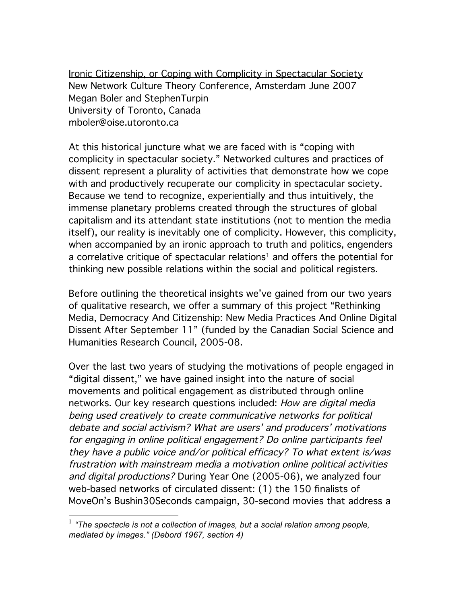Ironic Citizenship, or Coping with Complicity in Spectacular Society New Network Culture Theory Conference, Amsterdam June 2007 Megan Boler and StephenTurpin University of Toronto, Canada mboler@oise.utoronto.ca

At this historical juncture what we are faced with is "coping with complicity in spectacular society." Networked cultures and practices of dissent represent a plurality of activities that demonstrate how we cope with and productively recuperate our complicity in spectacular society. Because we tend to recognize, experientially and thus intuitively, the immense planetary problems created through the structures of global capitalism and its attendant state institutions (not to mention the media itself), our reality is inevitably one of complicity. However, this complicity, when accompanied by an ironic approach to truth and politics, engenders a correlative critique of spectacular relations<sup>1</sup> and offers the potential for thinking new possible relations within the social and political registers.

Before outlining the theoretical insights we've gained from our two years of qualitative research, we offer a summary of this project "Rethinking Media, Democracy And Citizenship: New Media Practices And Online Digital Dissent After September 11" (funded by the Canadian Social Science and Humanities Research Council, 2005-08.

Over the last two years of studying the motivations of people engaged in "digital dissent," we have gained insight into the nature of social movements and political engagement as distributed through online networks. Our key research questions included: How are digital media being used creatively to create communicative networks for political debate and social activism? What are users' and producers' motivations for engaging in online political engagement? Do online participants feel they have <sup>a</sup> public voice and/or political efficacy? To what extent is/was frustration with mainstream media <sup>a</sup> motivation online political activities and digital productions? During Year One (2005-06), we analyzed four web-based networks of circulated dissent: (1) the 150 finalists of MoveOn's Bushin30Seconds campaign, 30-second movies that address a

 <sup>1</sup> *"The spectacle is not a collection of images, but <sup>a</sup> social relation among people, mediated by images." (Debord 1967, section 4)*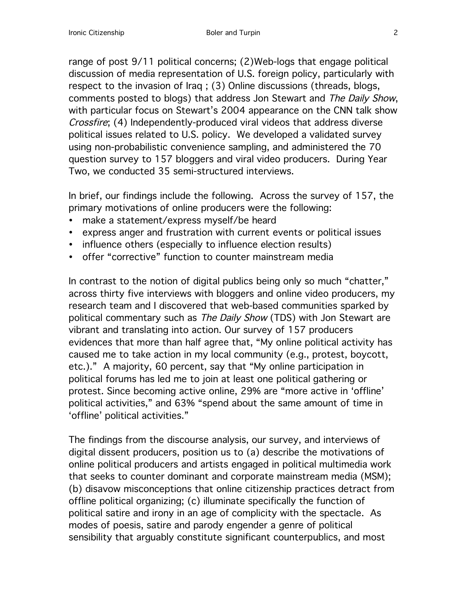range of post 9/11 political concerns; (2)Web-logs that engage political discussion of media representation of U.S. foreign policy, particularly with respect to the invasion of Iraq ; (3) Online discussions (threads, blogs, comments posted to blogs) that address Jon Stewart and The Daily Show, with particular focus on Stewart's 2004 appearance on the CNN talk show Crossfire; (4) Independently-produced viral videos that address diverse political issues related to U.S. policy. We developed a validated survey using non-probabilistic convenience sampling, and administered the 70 question survey to 157 bloggers and viral video producers. During Year Two, we conducted 35 semi-structured interviews.

In brief, our findings include the following. Across the survey of 157, the primary motivations of online producers were the following:

- make a statement/express myself/be heard
- express anger and frustration with current events or political issues
- influence others (especially to influence election results)
- offer "corrective" function to counter mainstream media

In contrast to the notion of digital publics being only so much "chatter," across thirty five interviews with bloggers and online video producers, my research team and I discovered that web-based communities sparked by political commentary such as The Daily Show (TDS) with Jon Stewart are vibrant and translating into action. Our survey of 157 producers evidences that more than half agree that, "My online political activity has caused me to take action in my local community (e.g., protest, boycott, etc.)." A majority, 60 percent, say that "My online participation in political forums has led me to join at least one political gathering or protest. Since becoming active online, 29% are "more active in 'offline' political activities," and 63% "spend about the same amount of time in 'offline' political activities."

The findings from the discourse analysis, our survey, and interviews of digital dissent producers, position us to (a) describe the motivations of online political producers and artists engaged in political multimedia work that seeks to counter dominant and corporate mainstream media (MSM); (b) disavow misconceptions that online citizenship practices detract from offline political organizing; (c) illuminate specifically the function of political satire and irony in an age of complicity with the spectacle. As modes of poesis, satire and parody engender a genre of political sensibility that arguably constitute significant counterpublics, and most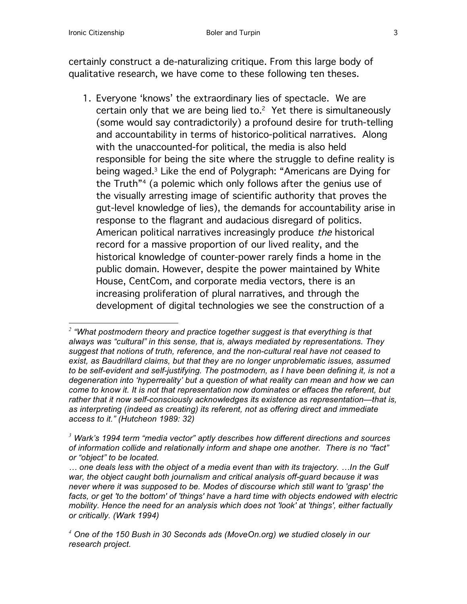certainly construct a de-naturalizing critique. From this large body of qualitative research, we have come to these following ten theses.

1. Everyone 'knows' the extraordinary lies of spectacle. We are certain only that we are being lied to. $2$  Yet there is simultaneously (some would say contradictorily) a profound desire for truth-telling and accountability in terms of historico-political narratives. Along with the unaccounted-for political, the media is also held responsible for being the site where the struggle to define reality is being waged. <sup>3</sup> Like the end of Polygraph: "Americans are Dying for the Truth"4 (a polemic which only follows after the genius use of the visually arresting image of scientific authority that proves the gut-level knowledge of lies), the demands for accountability arise in response to the flagrant and audacious disregard of politics. American political narratives increasingly produce the historical record for a massive proportion of our lived reality, and the historical knowledge of counter-power rarely finds a home in the public domain. However, despite the power maintained by White House, CentCom, and corporate media vectors, there is an increasing proliferation of plural narratives, and through the development of digital technologies we see the construction of a

*<sup>2</sup> "What postmodern theory and practice together suggest is that everything is that always was "cultural" in this sense, that is, always mediated by representations. They suggest that notions of truth, reference, and the non-cultural real have not ceased to exist, as Baudrillard claims, but that they are no longer unproblematic issues, assumed to be self-evident and self-justifying. The postmodern, as I have been defining it, is not a degeneration into 'hyperreality' but a question of what reality can mean and how we can come to know it. It is not that representation now dominates or effaces the referent, but rather that it now self-consciously acknowledges its existence as representation—that is, as interpreting (indeed as creating) its referent, not as offering direct and immediate access to it." (Hutcheon 1989: 32)*

*<sup>3</sup> Wark's 1994 term "media vector" aptly describes how different directions and sources of information collide and relationally inform and shape one another. There is no "fact" or "object" to be located.*

*<sup>…</sup> one deals less with the object of a media event than with its trajectory. …In the Gulf war, the object caught both journalism and critical analysis off-guard because it was never where it was supposed to be. Modes of discourse which still want to 'grasp' the facts, or get 'to the bottom' of 'things' have a hard time with objects endowed with electric mobility. Hence the need for an analysis which does not 'look' at 'things', either factually or critically. (Wark 1994)*

*<sup>4</sup> One of the 150 Bush in 30 Seconds ads (MoveOn.org) we studied closely in our research project.*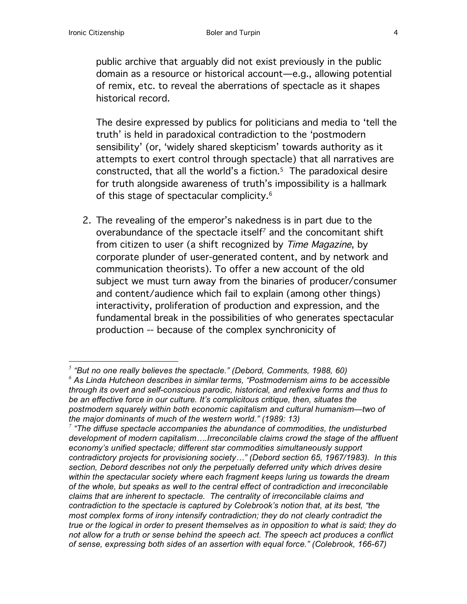public archive that arguably did not exist previously in the public domain as a resource or historical account—e.g., allowing potential of remix, etc. to reveal the aberrations of spectacle as it shapes historical record.

The desire expressed by publics for politicians and media to 'tell the truth' is held in paradoxical contradiction to the 'postmodern sensibility' (or, 'widely shared skepticism' towards authority as it attempts to exert control through spectacle) that all narratives are constructed, that all the world's a fiction. <sup>5</sup> The paradoxical desire for truth alongside awareness of truth's impossibility is a hallmark of this stage of spectacular complicity. 6

2. The revealing of the emperor's nakedness is in part due to the overabundance of the spectacle itself<sup>7</sup> and the concomitant shift from citizen to user (a shift recognized by Time Magazine, by corporate plunder of user-generated content, and by network and communication theorists). To offer a new account of the old subject we must turn away from the binaries of producer/consumer and content/audience which fail to explain (among other things) interactivity, proliferation of production and expression, and the fundamental break in the possibilities of who generates spectacular production -- because of the complex synchronicity of

*<sup>5</sup> "But no one really believes the spectacle." (Debord, Comments, 1988, 60) <sup>6</sup> As Linda Hutcheon describes in similar terms, "Postmodernism aims to be accessible through its overt and self-conscious parodic, historical, and reflexive forms and thus to be an effective force in our culture. It's complicitous critique, then, situates the postmodern squarely within both economic capitalism and cultural humanism—two of the major dominants of much of the western world." (1989: 13)*

*<sup>7</sup> "The diffuse spectacle accompanies the abundance of commodities, the undisturbed development of modern capitalism….Irreconcilable claims crowd the stage of the affluent economy's unified spectacle; different star commodities simultaneously support contradictory projects for provisioning society…" (Debord section 65, 1967/1983). In this section, Debord describes not only the perpetually deferred unity which drives desire within the spectacular society where each fragment keeps luring us towards the dream of the whole, but speaks as well to the central effect of contradiction and irreconcilable claims that are inherent to spectacle. The centrality of irreconcilable claims and contradiction to the spectacle is captured by Colebrook's notion that, at its best, "the most complex forms of irony intensify contradiction; they do not clearly contradict the true or the logical in order to present themselves as in opposition to what is said; they do not allow for a truth or sense behind the speech act. The speech act produces a conflict of sense, expressing both sides of an assertion with equal force." (Colebrook, 166-67)*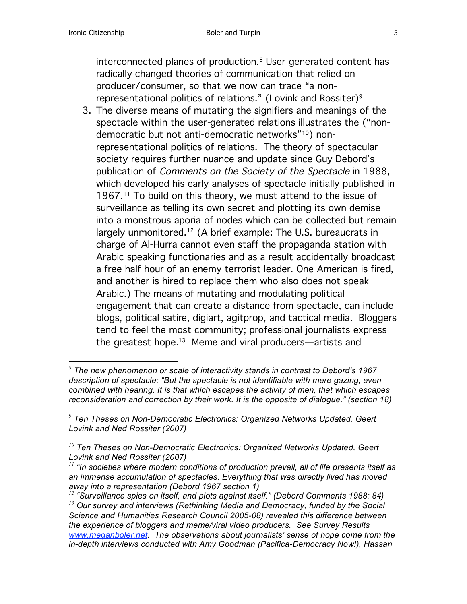interconnected planes of production. <sup>8</sup> User-generated content has radically changed theories of communication that relied on producer/consumer, so that we now can trace "a nonrepresentational politics of relations." (Lovink and Rossiter)<sup>9</sup>

3. The diverse means of mutating the signifiers and meanings of the spectacle within the user-generated relations illustrates the ("nondemocratic but not anti-democratic networks"10) nonrepresentational politics of relations. The theory of spectacular society requires further nuance and update since Guy Debord's publication of Comments on the Society of the Spectacle in 1988, which developed his early analyses of spectacle initially published in 1967.<sup>11</sup> To build on this theory, we must attend to the issue of surveillance as telling its own secret and plotting its own demise into a monstrous aporia of nodes which can be collected but remain largely unmonitored. <sup>12</sup> (A brief example: The U.S. bureaucrats in charge of Al-Hurra cannot even staff the propaganda station with Arabic speaking functionaries and as a result accidentally broadcast a free half hour of an enemy terrorist leader. One American is fired, and another is hired to replace them who also does not speak Arabic.) The means of mutating and modulating political engagement that can create a distance from spectacle, can include blogs, political satire, digiart, agitprop, and tactical media. Bloggers tend to feel the most community; professional journalists express the greatest hope. <sup>13</sup> Meme and viral producers—artists and

*<sup>8</sup> The new phenomenon or scale of interactivity stands in contrast to Debord's <sup>1967</sup> description of spectacle: "But the spectacle is not identifiable with mere gazing, even combined with hearing. It is that which escapes the activity of men, that which escapes reconsideration and correction by their work. It is the opposite of dialogue." (section 18)*

*<sup>9</sup> Ten Theses on Non-Democratic Electronics: Organized Networks Updated, Geert Lovink and Ned Rossiter (2007)*

*<sup>10</sup> Ten Theses on Non-Democratic Electronics: Organized Networks Updated, Geert Lovink and Ned Rossiter (2007)*

*<sup>11</sup> "In societies where modern conditions of production prevail, all of life presents itself as an immense accumulation of spectacles. Everything that was directly lived has moved away into a representation (Debord 1967 section 1)*

*<sup>12</sup> "Surveillance spies on itself, and plots against itself." (Debord Comments 1988: 84) <sup>13</sup> Our survey and interviews (Rethinking Media and Democracy, funded by the Social Science and Humanities Research Council 2005-08) revealed this difference between the experience of bloggers and meme/viral video producers. See Survey Results www.meganboler.net. The observations about journalists' sense of hope come from the in-depth interviews conducted with Amy Goodman (Pacifica-Democracy Now!), Hassan*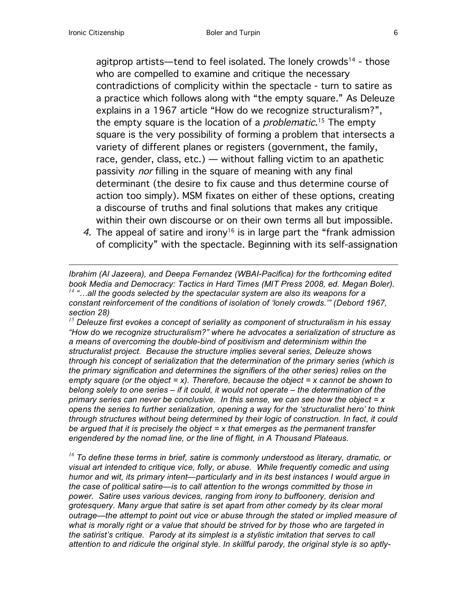agitprop artists—tend to feel isolated. The lonely crowds<sup>14</sup> - those who are compelled to examine and critique the necessary contradictions of complicity within the spectacle - turn to satire as a practice which follows along with "the empty square." As Deleuze explains in a 1967 article "How do we recognize structuralism?", the empty square is the location of a *problematic*.<sup>15</sup> The empty square is the very possibility of forming a problem that intersects a variety of different planes or registers (government, the family, race, gender, class, etc.) — without falling victim to an apathetic passivity nor filling in the square of meaning with any final determinant (the desire to fix cause and thus determine course of action too simply). MSM fixates on either of these options, creating a discourse of truths and final solutions that makes any critique within their own discourse or on their own terms all but impossible.

4. The appeal of satire and irony<sup>16</sup> is in large part the "frank admission" of complicity" with the spectacle. Beginning with its self-assignation

*Ibrahim (Al Jazeera), and Deepa Fernandez (WBAI-Pacifica) for the forthcoming edited book Media and Democracy: Tactics in Hard Times (MIT Press 2008, ed. Megan Boler). <sup>14</sup> "…all the goods selected by the spectacular system are also its weapons for a constant reinforcement of the conditions of isolation of 'lonely crowds.'" (Debord 1967, section 28)*

*<sup>15</sup> Deleuze first evokes a concept of seriality as component of structuralism in his essay "How do we recognize structuralism?" where he advocates a serialization of structure as a means of overcoming the double-bind of positivism and determinism within the structuralist project. Because the structure implies several series, Deleuze shows through his concept of serialization that the determination of the primary series (which is the primary signification and determines the signifiers of the other series) relies on the empty square (or the object = x). Therefore, because the object = x cannot be shown to belong solely to one series – if it could, it would not operate – the determination of the primary series can never be conclusive. In this sense, we can see how the object = x opens the series to further serialization, opening a way for the 'structuralist hero' to think through structures without being determined by their logic of construction. In fact, it could be argued that it is precisely the object = x that emerges as the permanent transfer engendered by the nomad line, or the line of flight, in A Thousand Plateaus.*

*<sup>16</sup> To define these terms in brief, satire is commonly understood as literary, dramatic, or visual art intended to critique vice, folly, or abuse. While frequently comedic and using humor and wit, its primary intent—particularly and in its best instances I would argue in the case of political satire—is to call attention to the wrongs committed by those in power. Satire uses various devices, ranging from irony to buffoonery, derision and grotesquery. Many argue that satire is set apart from other comedy by its clear moral outrage—the attempt to point out vice or abuse through the stated or implied measure of what is morally right or a value that should be strived for by those who are targeted in the satirist's critique. Parody at its simplest is a stylistic imitation that serves to call attention to and ridicule the original style. In skillful parody, the original style is so aptly-*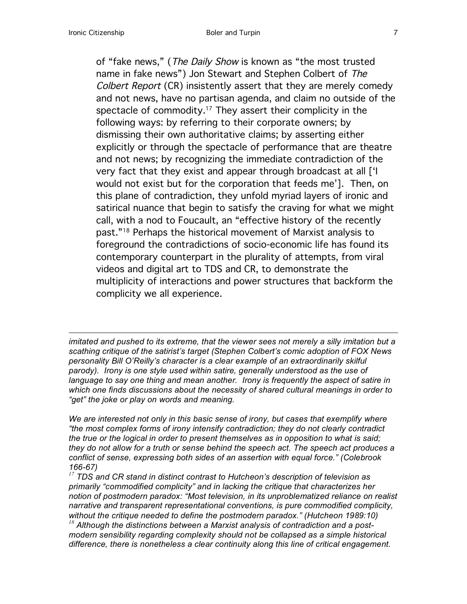of "fake news," (*The Daily Show* is known as "the most trusted name in fake news") Jon Stewart and Stephen Colbert of The Colbert Report (CR) insistently assert that they are merely comedy and not news, have no partisan agenda, and claim no outside of the spectacle of commodity. <sup>17</sup> They assert their complicity in the following ways: by referring to their corporate owners; by dismissing their own authoritative claims; by asserting either explicitly or through the spectacle of performance that are theatre and not news; by recognizing the immediate contradiction of the very fact that they exist and appear through broadcast at all ['I would not exist but for the corporation that feeds me']. Then, on this plane of contradiction, they unfold myriad layers of ironic and satirical nuance that begin to satisfy the craving for what we might call, with a nod to Foucault, an "effective history of the recently past."18 Perhaps the historical movement of Marxist analysis to foreground the contradictions of socio-economic life has found its contemporary counterpart in the plurality of attempts, from viral videos and digital art to TDS and CR, to demonstrate the multiplicity of interactions and power structures that backform the complicity we all experience.

*imitated and pushed to its extreme, that the viewer sees not merely a silly imitation but a scathing critique of the satirist's target (Stephen Colbert's comic adoption of FOX News personality Bill O'Reilly's character is a clear example of an extraordinarily skilful parody). Irony is one style used within satire, generally understood as the use of language to say one thing and mean another. Irony is frequently the aspect of satire in which one finds discussions about the necessity of shared cultural meanings in order to "get" the joke or play on words and meaning.*

*We are interested not only in this basic sense of irony, but cases that exemplify where "the most complex forms of irony intensify contradiction; they do not clearly contradict the true or the logical in order to present themselves as in opposition to what is said; they do not allow for a truth or sense behind the speech act. The speech act produces a conflict of sense, expressing both sides of an assertion with equal force." (Colebrook 166-67)* 

*<sup>17</sup> TDS and CR stand in distinct contrast to Hutcheon's description of television as primarily "commodified complicity" and in lacking the critique that characterizes her notion of postmodern paradox: "Most television, in its unproblematized reliance on realist narrative and transparent representational conventions, is pure commodified complicity, without the critique needed to define the postmodern paradox." (Hutcheon 1989:10) <sup>18</sup> Although the distinctions between a Marxist analysis of contradiction and a postmodern sensibility regarding complexity should not be collapsed as a simple historical difference, there is nonetheless a clear continuity along this line of critical engagement.*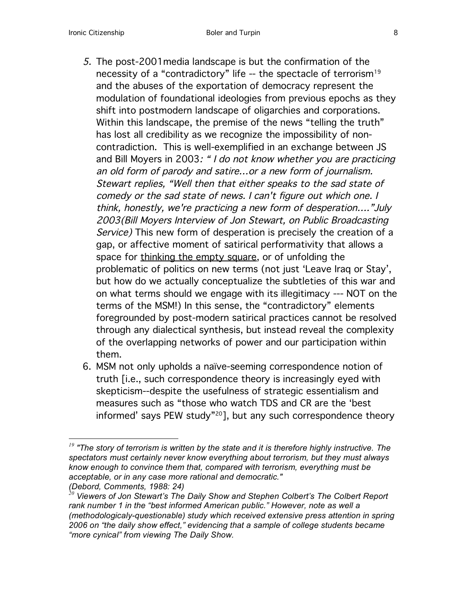- 5. The post-2001media landscape is but the confirmation of the necessity of a "contradictory" life -- the spectacle of terrorism<sup>19</sup> and the abuses of the exportation of democracy represent the modulation of foundational ideologies from previous epochs as they shift into postmodern landscape of oligarchies and corporations. Within this landscape, the premise of the news "telling the truth" has lost all credibility as we recognize the impossibility of noncontradiction. This is well-exemplified in an exchange between JS and Bill Moyers in 2003: " I do not know whether you are practicing an old form of parody and satire…or <sup>a</sup> new form of journalism. Stewart replies, "Well then that either speaks to the sad state of comedy or the sad state of news. I can't figure out which one. I think, honestly, we're practicing <sup>a</sup> new form of desperation…."July 2003(Bill Moyers Interview of Jon Stewart, on Public Broadcasting Service) This new form of desperation is precisely the creation of a gap, or affective moment of satirical performativity that allows a space for thinking the empty square, or of unfolding the problematic of politics on new terms (not just 'Leave Iraq or Stay', but how do we actually conceptualize the subtleties of this war and on what terms should we engage with its illegitimacy --- NOT on the terms of the MSM!) In this sense, the "contradictory" elements foregrounded by post-modern satirical practices cannot be resolved through any dialectical synthesis, but instead reveal the complexity of the overlapping networks of power and our participation within them.
- 6. MSM not only upholds a naïve-seeming correspondence notion of truth [i.e., such correspondence theory is increasingly eyed with skepticism--despite the usefulness of strategic essentialism and measures such as "those who watch TDS and CR are the 'best informed' says PEW study"<sup>20</sup>], but any such correspondence theory

*<sup>19</sup> "The story of terrorism is written by the state and it is therefore highly instructive. The spectators must certainly never know everything about terrorism, but they must always know enough to convince them that, compared with terrorism, everything must be acceptable, or in any case more rational and democratic." (Debord, Comments, 1988: 24)*

*<sup>20</sup> Viewers of Jon Stewart's The Daily Show and Stephen Colbert's The Colbert Report rank number 1 in the "best informed American public." However, note as well a (methodologicaly-questionable) study which received extensive press attention in spring 2006 on "the daily show effect," evidencing that a sample of college students became "more cynical" from viewing The Daily Show.*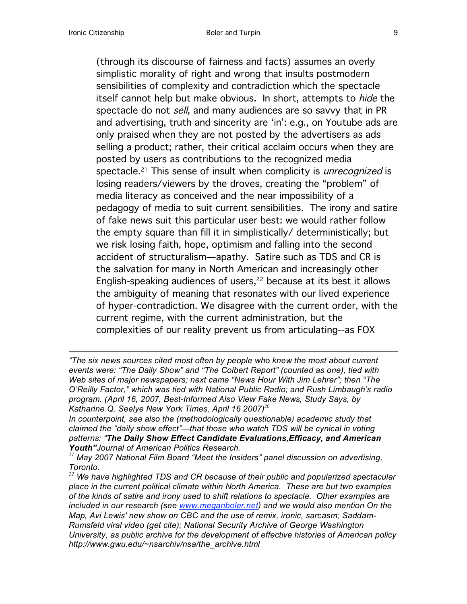(through its discourse of fairness and facts) assumes an overly simplistic morality of right and wrong that insults postmodern sensibilities of complexity and contradiction which the spectacle itself cannot help but make obvious. In short, attempts to *hide* the spectacle do not sell, and many audiences are so savvy that in PR and advertising, truth and sincerity are 'in': e.g., on Youtube ads are only praised when they are not posted by the advertisers as ads selling a product; rather, their critical acclaim occurs when they are posted by users as contributions to the recognized media spectacle.<sup>21</sup> This sense of insult when complicity is *unrecognized* is losing readers/viewers by the droves, creating the "problem" of media literacy as conceived and the near impossibility of a pedagogy of media to suit current sensibilities. The irony and satire of fake news suit this particular user best: we would rather follow the empty square than fill it in simplistically/ deterministically; but we risk losing faith, hope, optimism and falling into the second accident of structuralism—apathy. Satire such as TDS and CR is the salvation for many in North American and increasingly other English-speaking audiences of users, <sup>22</sup> because at its best it allows the ambiguity of meaning that resonates with our lived experience of hyper-contradiction. We disagree with the current order, with the current regime, with the current administration, but the complexities of our reality prevent us from articulating--as FOX

*In counterpoint, see also the (methodologically questionable) academic study that claimed the "daily show effect"—that those who watch TDS will be cynical in voting patterns: "The Daily Show Effect Candidate Evaluations,Efficacy, and American Youth"Journal of American Politics Research.*

*<sup>21</sup> May 2007 National Film Board "Meet the Insiders" panel discussion on advertising, Toronto.*

*<sup>22</sup> We have highlighted TDS and CR because of their public and popularized spectacular place in the current political climate within North America. These are but two examples of the kinds of satire and irony used to shift relations to spectacle. Other examples are*  included in our research (see www.meganboler.net) and we would also mention On the *Map, Avi Lewis' new show on CBC and the use of remix, ironic, sarcasm; Saddam-Rumsfeld viral video (get cite); National Security Archive of George Washington University, as public archive for the development of effective histories of American policy http://www.gwu.edu/~nsarchiv/nsa/the\_archive.html*

*<sup>&</sup>quot;The six news sources cited most often by people who knew the most about current events were: "The Daily Show" and "The Colbert Report" (counted as one), tied with Web sites of major newspapers; next came "News Hour With Jim Lehrer"; then "The O'Reilly Factor," which was tied with National Public Radio; and Rush Limbaugh's radio program. (April 16, 2007, Best-Informed Also View Fake News, Study Says, by Katharine Q. Seelye New York Times, April 16 2007)<sup>20</sup>*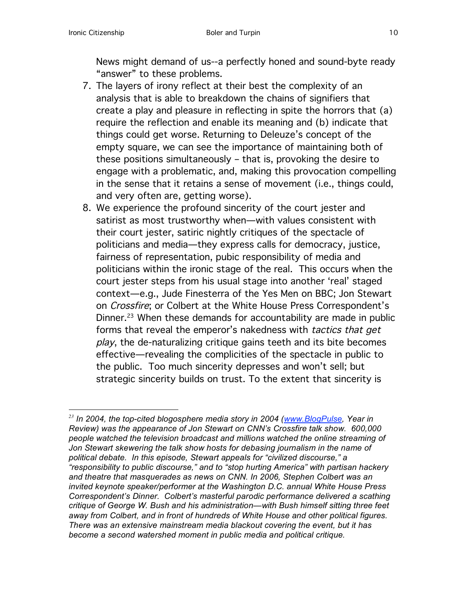News might demand of us--a perfectly honed and sound-byte ready "answer" to these problems.

- 7. The layers of irony reflect at their best the complexity of an analysis that is able to breakdown the chains of signifiers that create a play and pleasure in reflecting in spite the horrors that (a) require the reflection and enable its meaning and (b) indicate that things could get worse. Returning to Deleuze's concept of the empty square, we can see the importance of maintaining both of these positions simultaneously – that is, provoking the desire to engage with a problematic, and, making this provocation compelling in the sense that it retains a sense of movement (i.e., things could, and very often are, getting worse).
- 8. We experience the profound sincerity of the court jester and satirist as most trustworthy when—with values consistent with their court jester, satiric nightly critiques of the spectacle of politicians and media—they express calls for democracy, justice, fairness of representation, pubic responsibility of media and politicians within the ironic stage of the real. This occurs when the court jester steps from his usual stage into another 'real' staged context—e.g., Jude Finesterra of the Yes Men on BBC; Jon Stewart on Crossfire; or Colbert at the White House Press Correspondent's Dinner. <sup>23</sup> When these demands for accountability are made in public forms that reveal the emperor's nakedness with tactics that get play, the de-naturalizing critique gains teeth and its bite becomes effective—revealing the complicities of the spectacle in public to the public. Too much sincerity depresses and won't sell; but strategic sincerity builds on trust. To the extent that sincerity is

*<sup>23</sup> In 2004, the top-cited blogosphere media story in 2004 (www.BlogPulse, Year in Review) was the appearance of Jon Stewart on CNN's Crossfire talk show. 600,000 people watched the television broadcast and millions watched the online streaming of Jon Stewart skewering the talk show hosts for debasing journalism in the name of political debate. In this episode, Stewart appeals for "civilized discourse," a "responsibility to public discourse," and to "stop hurting America" with partisan hackery and theatre that masquerades as news on CNN. In 2006, Stephen Colbert was an invited keynote speaker/performer at the Washington D.C. annual White House Press Correspondent's Dinner. Colbert's masterful parodic performance delivered a scathing critique of George W. Bush and his administration—with Bush himself sitting three feet away from Colbert, and in front of hundreds of White House and other political figures. There was an extensive mainstream media blackout covering the event, but it has become a second watershed moment in public media and political critique.*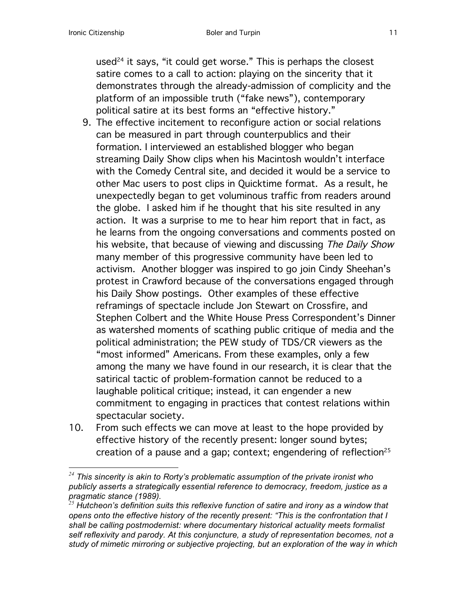used<sup>24</sup> it says, "it could get worse." This is perhaps the closest satire comes to a call to action: playing on the sincerity that it demonstrates through the already-admission of complicity and the platform of an impossible truth ("fake news"), contemporary political satire at its best forms an "effective history."

- 9. The effective incitement to reconfigure action or social relations can be measured in part through counterpublics and their formation. I interviewed an established blogger who began streaming Daily Show clips when his Macintosh wouldn't interface with the Comedy Central site, and decided it would be a service to other Mac users to post clips in Quicktime format. As a result, he unexpectedly began to get voluminous traffic from readers around the globe. I asked him if he thought that his site resulted in any action. It was a surprise to me to hear him report that in fact, as he learns from the ongoing conversations and comments posted on his website, that because of viewing and discussing The Daily Show many member of this progressive community have been led to activism. Another blogger was inspired to go join Cindy Sheehan's protest in Crawford because of the conversations engaged through his Daily Show postings. Other examples of these effective reframings of spectacle include Jon Stewart on Crossfire, and Stephen Colbert and the White House Press Correspondent's Dinner as watershed moments of scathing public critique of media and the political administration; the PEW study of TDS/CR viewers as the "most informed" Americans. From these examples, only a few among the many we have found in our research, it is clear that the satirical tactic of problem-formation cannot be reduced to a laughable political critique; instead, it can engender a new commitment to engaging in practices that contest relations within spectacular society.
- 10. From such effects we can move at least to the hope provided by effective history of the recently present: longer sound bytes; creation of a pause and a gap; context; engendering of reflection<sup>25</sup>

*<sup>24</sup> This sincerity is akin to Rorty's problematic assumption of the private ironist who publicly asserts a strategically essential reference to democracy, freedom, justice as a pragmatic stance (1989).*

*<sup>25</sup> Hutcheon's definition suits this reflexive function of satire and irony as a window that opens onto the effective history of the recently present: "This is the confrontation that I shall be calling postmodernist: where documentary historical actuality meets formalist self reflexivity and parody. At this conjuncture, a study of representation becomes, not a study of mimetic mirroring or subjective projecting, but an exploration of the way in which*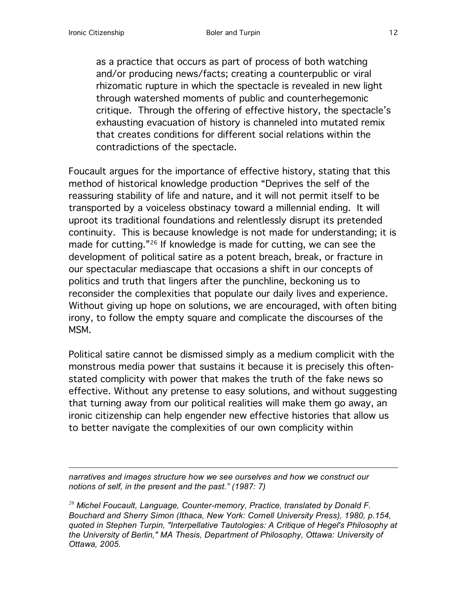as a practice that occurs as part of process of both watching and/or producing news/facts; creating a counterpublic or viral rhizomatic rupture in which the spectacle is revealed in new light through watershed moments of public and counterhegemonic critique. Through the offering of effective history, the spectacle's exhausting evacuation of history is channeled into mutated remix that creates conditions for different social relations within the contradictions of the spectacle.

Foucault argues for the importance of effective history, stating that this method of historical knowledge production "Deprives the self of the reassuring stability of life and nature, and it will not permit itself to be transported by a voiceless obstinacy toward a millennial ending. It will uproot its traditional foundations and relentlessly disrupt its pretended continuity. This is because knowledge is not made for understanding; it is made for cutting."26 If knowledge is made for cutting, we can see the development of political satire as a potent breach, break, or fracture in our spectacular mediascape that occasions a shift in our concepts of politics and truth that lingers after the punchline, beckoning us to reconsider the complexities that populate our daily lives and experience. Without giving up hope on solutions, we are encouraged, with often biting irony, to follow the empty square and complicate the discourses of the MSM.

Political satire cannot be dismissed simply as a medium complicit with the monstrous media power that sustains it because it is precisely this oftenstated complicity with power that makes the truth of the fake news so effective. Without any pretense to easy solutions, and without suggesting that turning away from our political realities will make them go away, an ironic citizenship can help engender new effective histories that allow us to better navigate the complexities of our own complicity within

*narratives and images structure how we see ourselves and how we construct our notions of self, in the present and the past." (1987: 7)*

*<sup>26</sup> Michel Foucault, Language, Counter-memory, Practice, translated by Donald F. Bouchard and Sherry Simon (Ithaca, New York: Cornell University Press), 1980, p.154, quoted in Stephen Turpin, "Interpellative Tautologies: A Critique of Hegel's Philosophy at the University of Berlin," MA Thesis, Department of Philosophy, Ottawa: University of Ottawa, 2005.*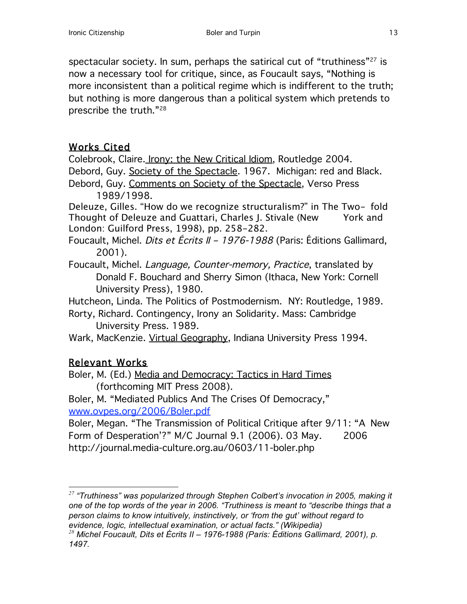spectacular society. In sum, perhaps the satirical cut of "truthiness"<sup>27</sup> is now a necessary tool for critique, since, as Foucault says, "Nothing is more inconsistent than a political regime which is indifferent to the truth; but nothing is more dangerous than a political system which pretends to prescribe the truth."28

## Works Cited

Colebrook, Claire. Irony: the New Critical Idiom, Routledge 2004. Debord, Guy. Society of the Spectacle. 1967. Michigan: red and Black.

Debord, Guy. Comments on Society of the Spectacle, Verso Press 1989/1998.

Deleuze, Gilles. "How do we recognize structuralism?" in The Two- fold Thought of Deleuze and Guattari, Charles J. Stivale (New York and London: Guilford Press, 1998), pp. 258-282.

Foucault, Michel. *Dits et Écrits II - 1976-1988* (Paris: Éditions Gallimard, 2001).

Foucault, Michel. Language, Counter-memory, Practice, translated by Donald F. Bouchard and Sherry Simon (Ithaca, New York: Cornell University Press), 1980.

Hutcheon, Linda. The Politics of Postmodernism. NY: Routledge, 1989.

Rorty, Richard. Contingency, Irony an Solidarity. Mass: Cambridge University Press. 1989.

Wark, MacKenzie. Virtual Geography, Indiana University Press 1994.

## Relevant Works

Boler, M. (Ed.) Media and Democracy: Tactics in Hard Times (forthcoming MIT Press 2008).

Boler, M. "Mediated Publics And The Crises Of Democracy," www.ovpes.org/2006/Boler.pdf

Boler, Megan. "The Transmission of Political Critique after 9/11: "A New Form of Desperation'?" M/C Journal 9.1 (2006). 03 May. 2006 http://journal.media-culture.org.au/0603/11-boler.php

 *<sup>27</sup> "Truthiness" was popularized through Stephen Colbert's invocation in 2005, making it one of the top words of the year in 2006. "Truthiness is meant to "describe things that a person claims to know intuitively, instinctively, or 'from the gut' without regard to evidence, logic, intellectual examination, or actual facts." (Wikipedia)*

*<sup>28</sup> Michel Foucault, Dits et Écrits II – 1976-1988 (Paris: Éditions Gallimard, 2001), p. 1497.*